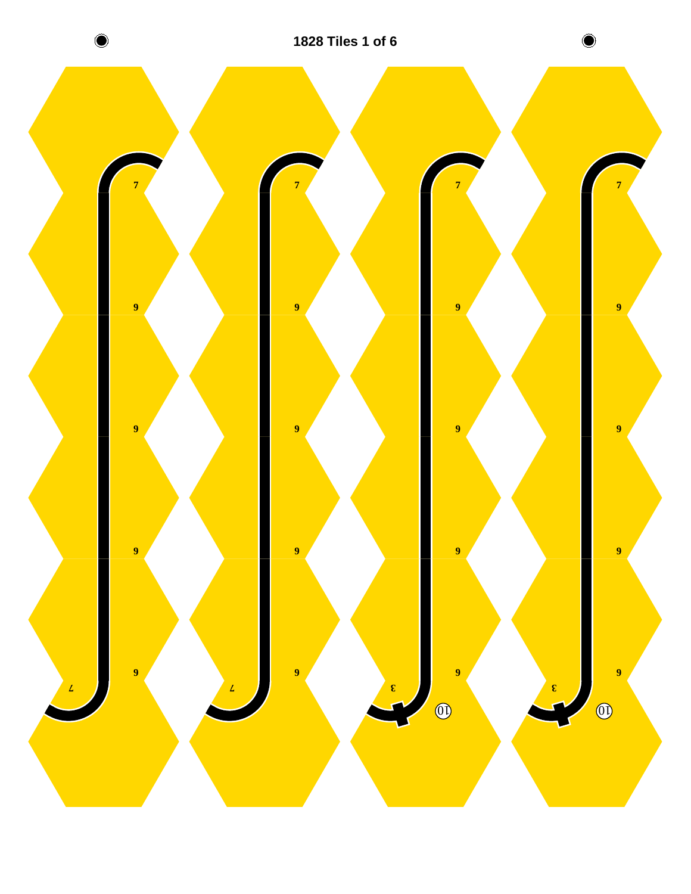

**1828 Tiles 1 of 6**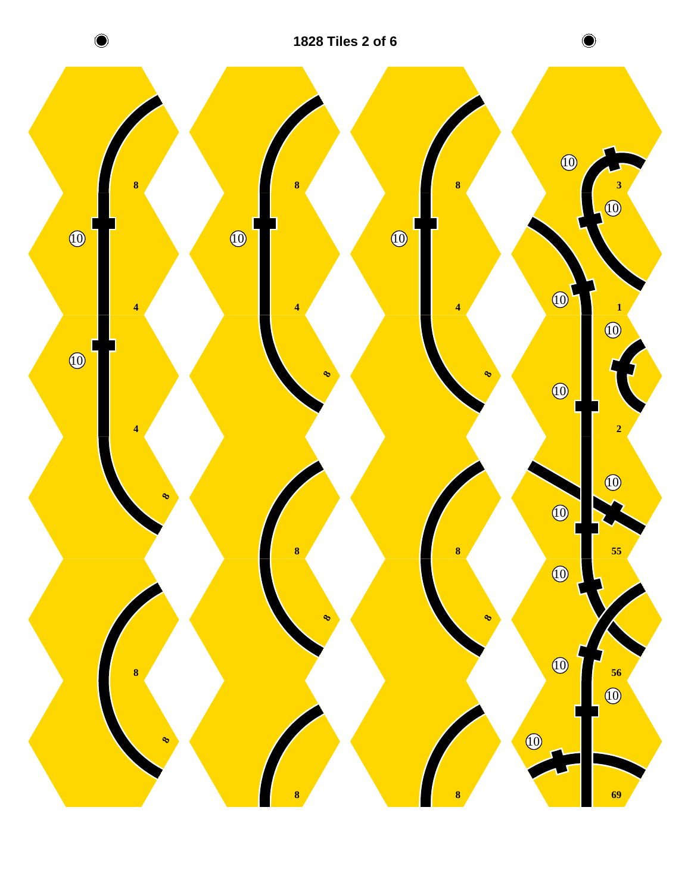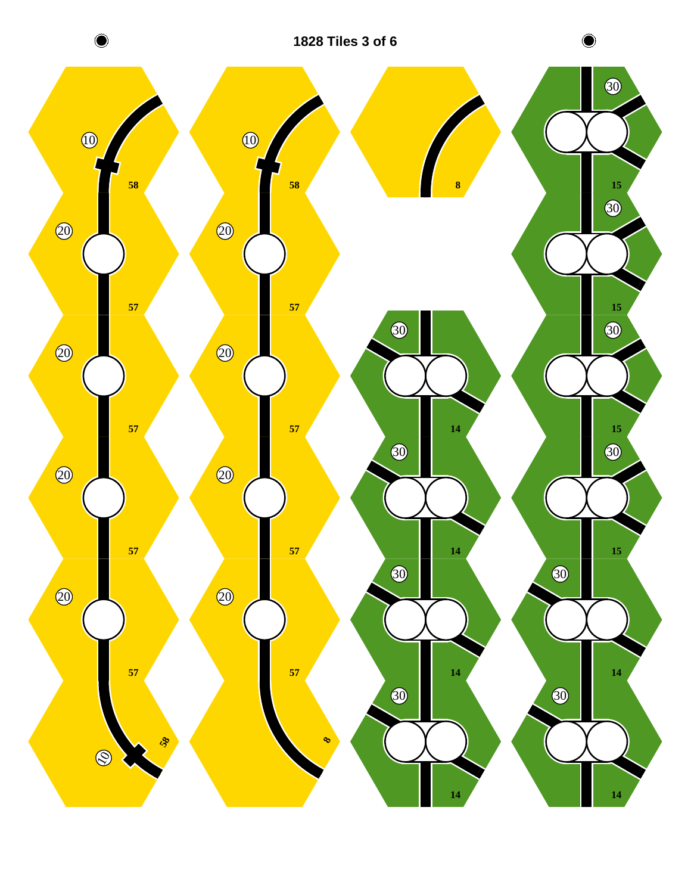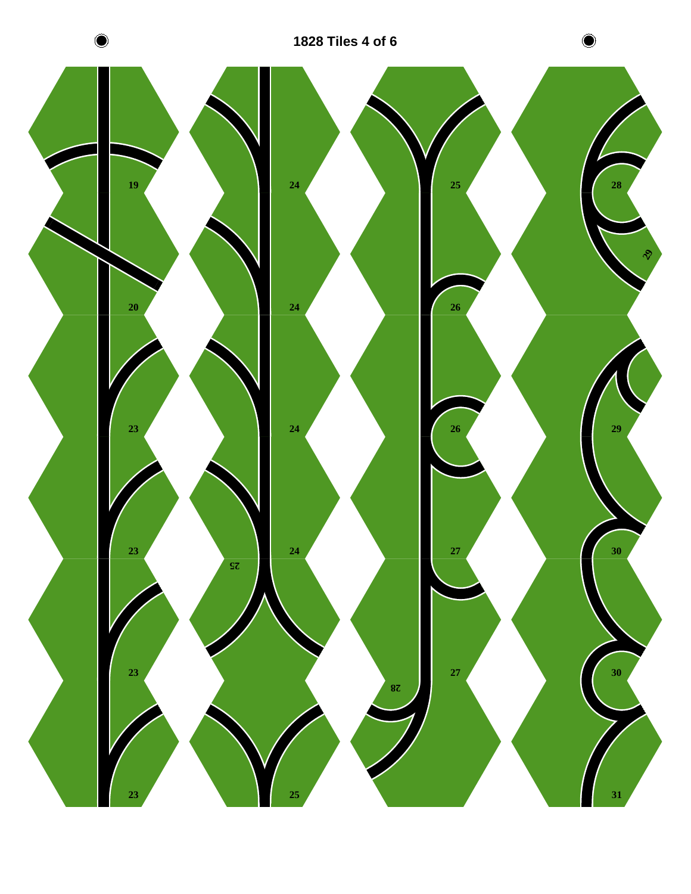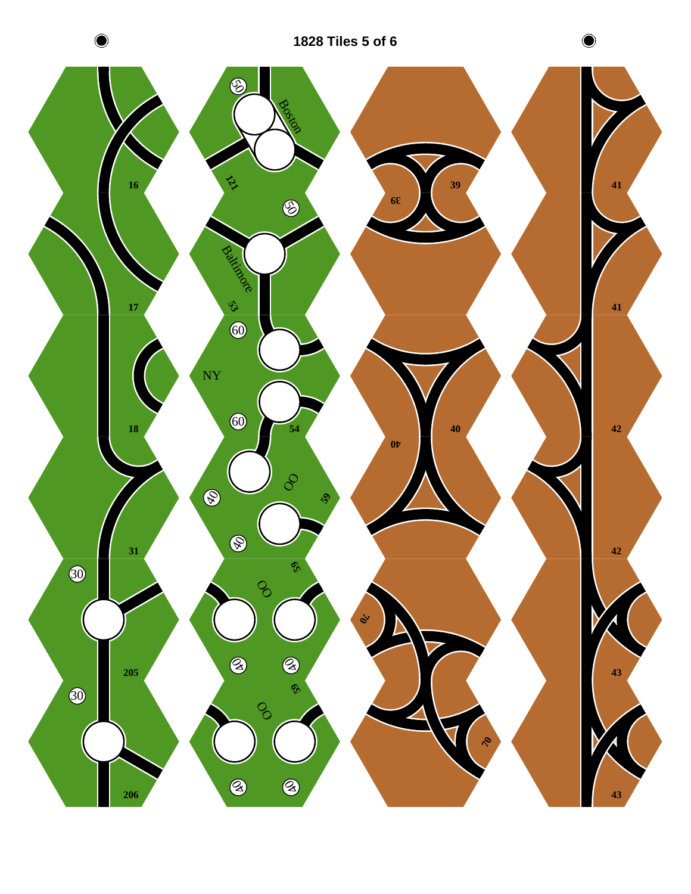